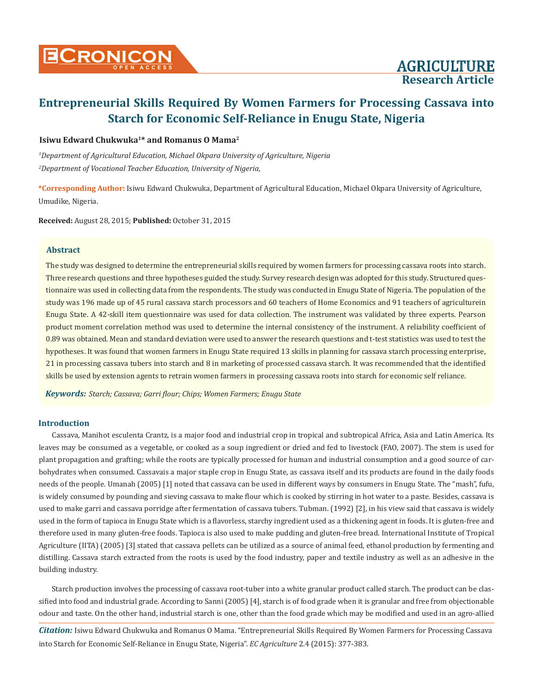# **Entrepreneurial Skills Required By Women Farmers for Processing Cassava into Starch for Economic Self-Reliance in Enugu State, Nigeria**

# **Isiwu Edward Chukwuka1\* and Romanus O Mama2**

*1 Department of Agricultural Education, Michael Okpara University of Agriculture, Nigeria 2 Department of Vocational Teacher Education, University of Nigeria,* 

**\*Corresponding Author:** Isiwu Edward Chukwuka, Department of Agricultural Education, Michael Okpara University of Agriculture, Umudike, Nigeria.

**Received:** August 28, 2015; **Published:** October 31, 2015

# **Abstract**

The study was designed to determine the entrepreneurial skills required by women farmers for processing cassava roots into starch. Three research questions and three hypotheses guided the study. Survey research design was adopted for this study. Structured questionnaire was used in collecting data from the respondents. The study was conducted in Enugu State of Nigeria. The population of the study was 196 made up of 45 rural cassava starch processors and 60 teachers of Home Economics and 91 teachers of agriculturein Enugu State. A 42-skill item questionnaire was used for data collection. The instrument was validated by three experts. Pearson product moment correlation method was used to determine the internal consistency of the instrument. A reliability coefficient of 0.89 was obtained. Mean and standard deviation were used to answer the research questions and t-test statistics was used to test the hypotheses. It was found that women farmers in Enugu State required 13 skills in planning for cassava starch processing enterprise, 21 in processing cassava tubers into starch and 8 in marketing of processed cassava starch. It was recommended that the identified skills be used by extension agents to retrain women farmers in processing cassava roots into starch for economic self reliance.

*Keywords: Starch; Cassava; Garri flour; Chips; Women Farmers; Enugu State*

# **Introduction**

Cassava, Manihot esculenta Crantz, is a major food and industrial crop in tropical and subtropical Africa, Asia and Latin America. Its leaves may be consumed as a vegetable, or cooked as a soup ingredient or dried and fed to livestock (FAO, 2007). The stem is used for plant propagation and grafting; while the roots are typically processed for human and industrial consumption and a good source of carbohydrates when consumed. Cassavais a major staple crop in Enugu State, as cassava itself and its products are found in the daily foods needs of the people. Umanah (2005) [1] noted that cassava can be used in different ways by consumers in Enugu State. The "mash", fufu, is widely consumed by pounding and sieving cassava to make flour which is cooked by stirring in hot water to a paste. Besides, cassava is used to make garri and cassava porridge after fermentation of cassava tubers. Tubman. (1992) [2], in his view said that cassava is widely used in the form of tapioca in Enugu State which is a flavorless, starchy ingredient used as a thickening agent in foods. It is gluten-free and therefore used in many gluten-free foods. Tapioca is also used to make pudding and gluten-free bread. International Institute of Tropical Agriculture (IITA) (2005) [3] stated that cassava pellets can be utilized as a source of animal feed, ethanol production by fermenting and distilling. Cassava starch extracted from the roots is used by the food industry, paper and textile industry as well as an adhesive in the building industry.

Starch production involves the processing of cassava root-tuber into a white granular product called starch. The product can be classified into food and industrial grade. According to Sanni (2005) [4], starch is of food grade when it is granular and free from objectionable odour and taste. On the other hand, industrial starch is one, other than the food grade which may be modified and used in an agro-allied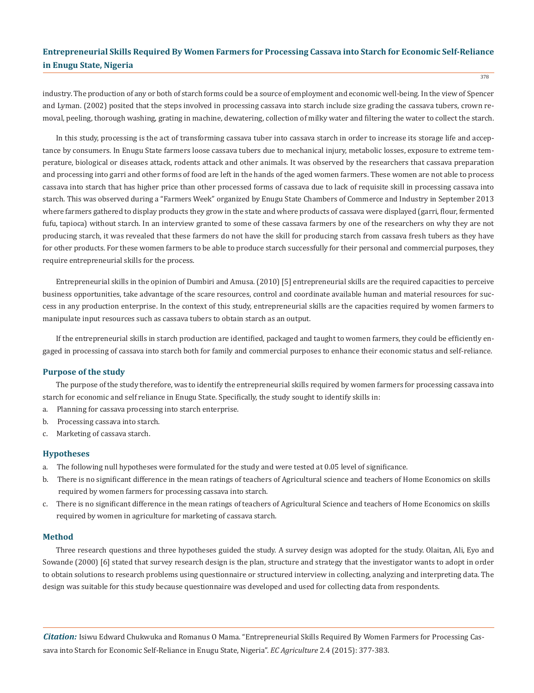# **Entrepreneurial Skills Required By Women Farmers for Processing Cassava into Starch for Economic Self-Reliance in Enugu State, Nigeria**

378

industry. The production of any or both of starch forms could be a source of employment and economic well-being. In the view of Spencer and Lyman. (2002) posited that the steps involved in processing cassava into starch include size grading the cassava tubers, crown removal, peeling, thorough washing, grating in machine, dewatering, collection of milky water and filtering the water to collect the starch.

In this study, processing is the act of transforming cassava tuber into cassava starch in order to increase its storage life and acceptance by consumers. In Enugu State farmers loose cassava tubers due to mechanical injury, metabolic losses, exposure to extreme temperature, biological or diseases attack, rodents attack and other animals. It was observed by the researchers that cassava preparation and processing into garri and other forms of food are left in the hands of the aged women farmers. These women are not able to process cassava into starch that has higher price than other processed forms of cassava due to lack of requisite skill in processing cassava into starch. This was observed during a "Farmers Week" organized by Enugu State Chambers of Commerce and Industry in September 2013 where farmers gathered to display products they grow in the state and where products of cassava were displayed (garri, flour, fermented fufu, tapioca) without starch. In an interview granted to some of these cassava farmers by one of the researchers on why they are not producing starch, it was revealed that these farmers do not have the skill for producing starch from cassava fresh tubers as they have for other products. For these women farmers to be able to produce starch successfully for their personal and commercial purposes, they require entrepreneurial skills for the process.

Entrepreneurial skills in the opinion of Dumbiri and Amusa. (2010) [5] entrepreneurial skills are the required capacities to perceive business opportunities, take advantage of the scare resources, control and coordinate available human and material resources for success in any production enterprise. In the context of this study, entrepreneurial skills are the capacities required by women farmers to manipulate input resources such as cassava tubers to obtain starch as an output.

If the entrepreneurial skills in starch production are identified, packaged and taught to women farmers, they could be efficiently engaged in processing of cassava into starch both for family and commercial purposes to enhance their economic status and self-reliance.

#### **Purpose of the study**

The purpose of the study therefore, was to identify the entrepreneurial skills required by women farmers for processing cassava into starch for economic and self reliance in Enugu State. Specifically, the study sought to identify skills in:

- a. Planning for cassava processing into starch enterprise.
- b. Processing cassava into starch.
- c. Marketing of cassava starch.

### **Hypotheses**

- a. The following null hypotheses were formulated for the study and were tested at 0.05 level of significance.
- b. There is no significant difference in the mean ratings of teachers of Agricultural science and teachers of Home Economics on skills required by women farmers for processing cassava into starch.
- c. There is no significant difference in the mean ratings of teachers of Agricultural Science and teachers of Home Economics on skills required by women in agriculture for marketing of cassava starch.

### **Method**

Three research questions and three hypotheses guided the study. A survey design was adopted for the study. Olaitan, Ali, Eyo and Sowande (2000) [6] stated that survey research design is the plan, structure and strategy that the investigator wants to adopt in order to obtain solutions to research problems using questionnaire or structured interview in collecting, analyzing and interpreting data. The design was suitable for this study because questionnaire was developed and used for collecting data from respondents.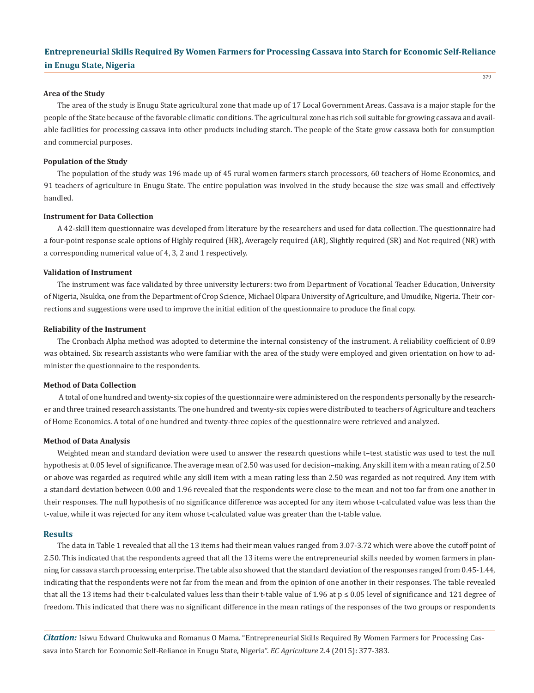# **Entrepreneurial Skills Required By Women Farmers for Processing Cassava into Starch for Economic Self-Reliance in Enugu State, Nigeria**

379

#### **Area of the Study**

The area of the study is Enugu State agricultural zone that made up of 17 Local Government Areas. Cassava is a major staple for the people of the State because of the favorable climatic conditions. The agricultural zone has rich soil suitable for growing cassava and available facilities for processing cassava into other products including starch. The people of the State grow cassava both for consumption and commercial purposes.

### **Population of the Study**

The population of the study was 196 made up of 45 rural women farmers starch processors, 60 teachers of Home Economics, and 91 teachers of agriculture in Enugu State. The entire population was involved in the study because the size was small and effectively handled.

#### **Instrument for Data Collection**

A 42-skill item questionnaire was developed from literature by the researchers and used for data collection. The questionnaire had a four-point response scale options of Highly required (HR), Averagely required (AR), Slightly required (SR) and Not required (NR) with a corresponding numerical value of 4, 3, 2 and 1 respectively.

#### **Validation of Instrument**

The instrument was face validated by three university lecturers: two from Department of Vocational Teacher Education, University of Nigeria, Nsukka, one from the Department of Crop Science, Michael Okpara University of Agriculture, and Umudike, Nigeria. Their corrections and suggestions were used to improve the initial edition of the questionnaire to produce the final copy.

#### **Reliability of the Instrument**

The Cronbach Alpha method was adopted to determine the internal consistency of the instrument. A reliability coefficient of 0.89 was obtained. Six research assistants who were familiar with the area of the study were employed and given orientation on how to administer the questionnaire to the respondents.

#### **Method of Data Collection**

 A total of one hundred and twenty-six copies of the questionnaire were administered on the respondents personally by the researcher and three trained research assistants. The one hundred and twenty-six copies were distributed to teachers of Agriculture and teachers of Home Economics. A total of one hundred and twenty-three copies of the questionnaire were retrieved and analyzed.

#### **Method of Data Analysis**

Weighted mean and standard deviation were used to answer the research questions while t–test statistic was used to test the null hypothesis at 0.05 level of significance. The average mean of 2.50 was used for decision–making. Any skill item with a mean rating of 2.50 or above was regarded as required while any skill item with a mean rating less than 2.50 was regarded as not required. Any item with a standard deviation between 0.00 and 1.96 revealed that the respondents were close to the mean and not too far from one another in their responses. The null hypothesis of no significance difference was accepted for any item whose t-calculated value was less than the t-value, while it was rejected for any item whose t-calculated value was greater than the t-table value.

#### **Results**

The data in Table 1 revealed that all the 13 items had their mean values ranged from 3.07-3.72 which were above the cutoff point of 2.50. This indicated that the respondents agreed that all the 13 items were the entrepreneurial skills needed by women farmers in planning for cassava starch processing enterprise. The table also showed that the standard deviation of the responses ranged from 0.45-1.44, indicating that the respondents were not far from the mean and from the opinion of one another in their responses. The table revealed that all the 13 items had their t-calculated values less than their t-table value of 1.96 at p ≤ 0.05 level of significance and 121 degree of freedom. This indicated that there was no significant difference in the mean ratings of the responses of the two groups or respondents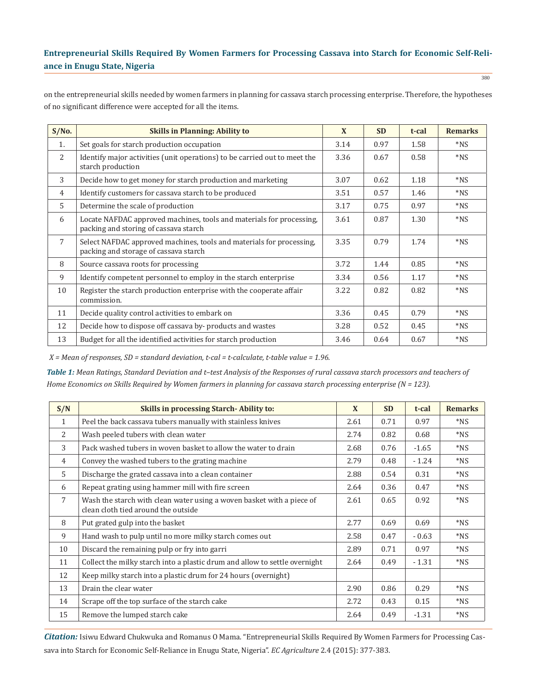# **Entrepreneurial Skills Required By Women Farmers for Processing Cassava into Starch for Economic Self-Reliance in Enugu State, Nigeria**

on the entrepreneurial skills needed by women farmers in planning for cassava starch processing enterprise. Therefore, the hypotheses of no significant difference were accepted for all the items.

| S/No.          | <b>Skills in Planning: Ability to</b>                                                                         | X    | <b>SD</b> | t-cal | <b>Remarks</b> |
|----------------|---------------------------------------------------------------------------------------------------------------|------|-----------|-------|----------------|
| 1.             | Set goals for starch production occupation                                                                    | 3.14 | 0.97      | 1.58  | $*_{NS}$       |
| 2              | Identify major activities (unit operations) to be carried out to meet the<br>starch production                | 3.36 | 0.67      | 0.58  | $*_{NS}$       |
| 3              | Decide how to get money for starch production and marketing                                                   | 3.07 | 0.62      | 1.18  | $*_{NS}$       |
| $\overline{4}$ | Identify customers for cassava starch to be produced                                                          | 3.51 | 0.57      | 1.46  | $*_{NS}$       |
| 5              | Determine the scale of production                                                                             | 3.17 | 0.75      | 0.97  | $*_{NS}$       |
| 6              | Locate NAFDAC approved machines, tools and materials for processing,<br>packing and storing of cassava starch | 3.61 | 0.87      | 1.30  | $*_{NS}$       |
| 7              | Select NAFDAC approved machines, tools and materials for processing,<br>packing and storage of cassava starch | 3.35 | 0.79      | 1.74  | $*_{NS}$       |
| 8              | Source cassava roots for processing                                                                           | 3.72 | 1.44      | 0.85  | $*_{NS}$       |
| 9              | Identify competent personnel to employ in the starch enterprise                                               | 3.34 | 0.56      | 1.17  | $*_{NS}$       |
| 10             | Register the starch production enterprise with the cooperate affair<br>commission.                            | 3.22 | 0.82      | 0.82  | $*_{NS}$       |
| 11             | Decide quality control activities to embark on                                                                | 3.36 | 0.45      | 0.79  | $*_{NS}$       |
| 12             | Decide how to dispose off cassava by-products and wastes                                                      | 3.28 | 0.52      | 0.45  | $*_{NS}$       |
| 13             | Budget for all the identified activities for starch production                                                | 3.46 | 0.64      | 0.67  | $*_{NS}$       |

 *X = Mean of responses, SD = standard deviation, t-cal = t-calculate, t-table value = 1.96.*

*Table 1: Mean Ratings, Standard Deviation and t–test Analysis of the Responses of rural cassava starch processors and teachers of Home Economics on Skills Required by Women farmers in planning for cassava starch processing enterprise (N = 123).*

| S/N            | <b>Skills in processing Starch-Ability to:</b>                                                               | X    | <b>SD</b> | t-cal   | <b>Remarks</b> |
|----------------|--------------------------------------------------------------------------------------------------------------|------|-----------|---------|----------------|
| $\mathbf{1}$   | Peel the back cassava tubers manually with stainless knives                                                  | 2.61 | 0.71      | 0.97    | $*_{NS}$       |
| 2              | Wash peeled tubers with clean water                                                                          | 2.74 | 0.82      | 0.68    | $*_{NS}$       |
| 3              | Pack washed tubers in woven basket to allow the water to drain                                               | 2.68 | 0.76      | $-1.65$ | $*_{NS}$       |
| $\overline{4}$ | Convey the washed tubers to the grating machine                                                              | 2.79 | 0.48      | $-1.24$ | $*_{NS}$       |
| $\overline{5}$ | Discharge the grated cassava into a clean container                                                          | 2.88 | 0.54      | 0.31    | $*_{NS}$       |
| 6              | Repeat grating using hammer mill with fire screen                                                            | 2.64 | 0.36      | 0.47    | $*_{NS}$       |
| $\overline{7}$ | Wash the starch with clean water using a woven basket with a piece of<br>clean cloth tied around the outside | 2.61 | 0.65      | 0.92    | $*_{NS}$       |
| 8              | Put grated gulp into the basket                                                                              | 2.77 | 0.69      | 0.69    | $*_{NS}$       |
| 9              | Hand wash to pulp until no more milky starch comes out                                                       | 2.58 | 0.47      | $-0.63$ | $*_{NS}$       |
| 10             | Discard the remaining pulp or fry into garri                                                                 | 2.89 | 0.71      | 0.97    | $*_{NS}$       |
| 11             | Collect the milky starch into a plastic drum and allow to settle overnight                                   | 2.64 | 0.49      | $-1.31$ | $*_{NS}$       |
| 12             | Keep milky starch into a plastic drum for 24 hours (overnight)                                               |      |           |         |                |
| 13             | Drain the clear water                                                                                        | 2.90 | 0.86      | 0.29    | $*_{NS}$       |
| 14             | Scrape off the top surface of the starch cake                                                                | 2.72 | 0.43      | 0.15    | $*_{NS}$       |
| 15             | Remove the lumped starch cake                                                                                | 2.64 | 0.49      | $-1.31$ | $*_{NS}$       |

<sup>380</sup>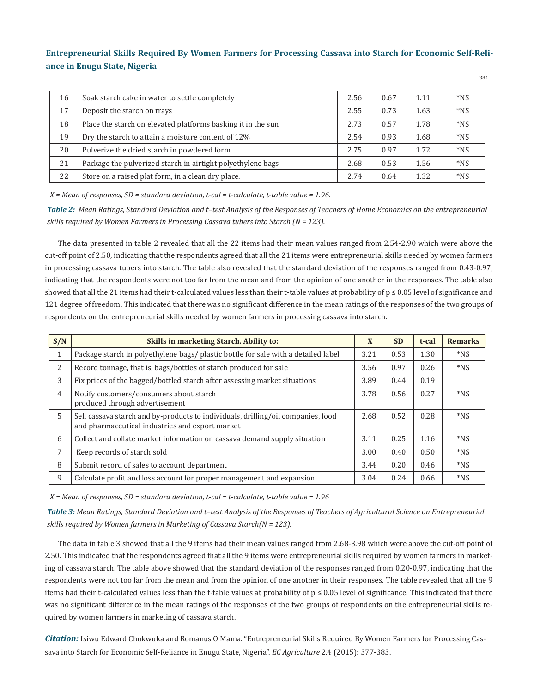# **Entrepreneurial Skills Required By Women Farmers for Processing Cassava into Starch for Economic Self-Reliance in Enugu State, Nigeria**

381

| 16 | Soak starch cake in water to settle completely               | 2.56 | 0.67 | 1.11 | $*NS$             |
|----|--------------------------------------------------------------|------|------|------|-------------------|
| 17 | Deposit the starch on trays                                  | 2.55 | 0.73 | 1.63 | $*NS$             |
| 18 | Place the starch on elevated platforms basking it in the sun | 2.73 | 0.57 | 1.78 | $*NS$             |
| 19 | Dry the starch to attain a moisture content of 12%           | 2.54 | 0.93 | 1.68 | $*$ <sub>NS</sub> |
| 20 | Pulverize the dried starch in powdered form                  | 2.75 | 0.97 | 1.72 | $*NS$             |
| 21 | Package the pulverized starch in airtight polyethylene bags  | 2.68 | 0.53 | 1.56 | $*NS$             |
| 22 | Store on a raised plat form, in a clean dry place.           | 2.74 | 0.64 | 1.32 | $*_{NS}$          |

 *X = Mean of responses, SD = standard deviation, t-cal = t-calculate, t-table value = 1.96.*

*Table 2: Mean Ratings, Standard Deviation and t–test Analysis of the Responses of Teachers of Home Economics on the entrepreneurial skills required by Women Farmers in Processing Cassava tubers into Starch (N = 123).*

The data presented in table 2 revealed that all the 22 items had their mean values ranged from 2.54-2.90 which were above the cut-off point of 2.50, indicating that the respondents agreed that all the 21 items were entrepreneurial skills needed by women farmers in processing cassava tubers into starch. The table also revealed that the standard deviation of the responses ranged from 0.43-0.97, indicating that the respondents were not too far from the mean and from the opinion of one another in the responses. The table also showed that all the 21 items had their t-calculated values less than their t-table values at probability of  $p \le 0.05$  level of significance and 121 degree of freedom. This indicated that there was no significant difference in the mean ratings of the responses of the two groups of respondents on the entrepreneurial skills needed by women farmers in processing cassava into starch.

| S/N            | <b>Skills in marketing Starch. Ability to:</b>                                                                                      | X    | <b>SD</b> | t-cal | <b>Remarks</b>    |
|----------------|-------------------------------------------------------------------------------------------------------------------------------------|------|-----------|-------|-------------------|
| $\mathbf{1}$   | Package starch in polyethylene bags/ plastic bottle for sale with a detailed label                                                  | 3.21 | 0.53      | 1.30  | $*_{NS}$          |
| 2              | Record tonnage, that is, bags/bottles of starch produced for sale                                                                   | 3.56 | 0.97      | 0.26  | $*_{NS}$          |
| 3              | Fix prices of the bagged/bottled starch after assessing market situations                                                           | 3.89 | 0.44      | 0.19  |                   |
| $\overline{4}$ | Notify customers/consumers about starch<br>produced through advertisement                                                           | 3.78 | 0.56      | 0.27  | $*_{NS}$          |
| 5              | Sell cassava starch and by-products to individuals, drilling/oil companies, food<br>and pharmaceutical industries and export market | 2.68 | 0.52      | 0.28  | $*$ <sub>NS</sub> |
| 6              | Collect and collate market information on cassava demand supply situation                                                           | 3.11 | 0.25      | 1.16  | $*$ <sub>NS</sub> |
| 7              | Keep records of starch sold                                                                                                         | 3.00 | 0.40      | 0.50  | $*$ <sub>NS</sub> |
| 8              | Submit record of sales to account department                                                                                        | 3.44 | 0.20      | 0.46  | $*_{NS}$          |
| 9              | Calculate profit and loss account for proper management and expansion                                                               | 3.04 | 0.24      | 0.66  | $*$ <sub>NS</sub> |

 *X = Mean of responses, SD = standard deviation, t-cal = t-calculate, t-table value = 1.96*

*Table 3: Mean Ratings, Standard Deviation and t–test Analysis of the Responses of Teachers of Agricultural Science on Entrepreneurial skills required by Women farmers in Marketing of Cassava Starch(N = 123).*

The data in table 3 showed that all the 9 items had their mean values ranged from 2.68-3.98 which were above the cut-off point of 2.50. This indicated that the respondents agreed that all the 9 items were entrepreneurial skills required by women farmers in marketing of cassava starch. The table above showed that the standard deviation of the responses ranged from 0.20-0.97, indicating that the respondents were not too far from the mean and from the opinion of one another in their responses. The table revealed that all the 9 items had their t-calculated values less than the t-table values at probability of  $p \le 0.05$  level of significance. This indicated that there was no significant difference in the mean ratings of the responses of the two groups of respondents on the entrepreneurial skills required by women farmers in marketing of cassava starch.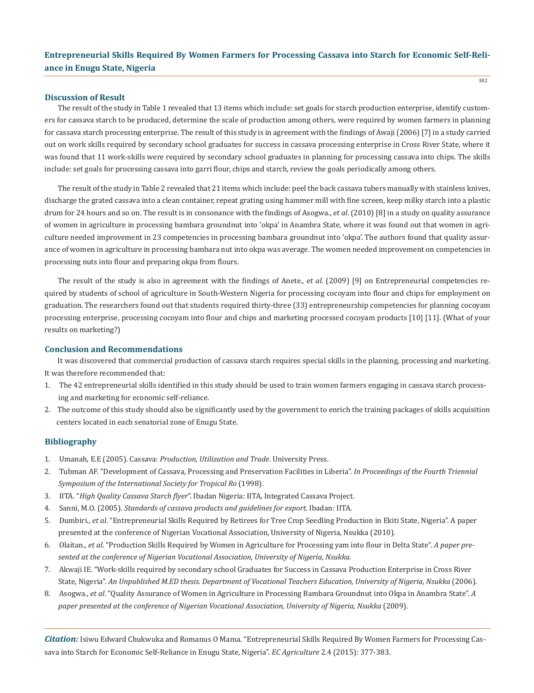382

### **Discussion of Result**

The result of the study in Table 1 revealed that 13 items which include: set goals for starch production enterprise, identify customers for cassava starch to be produced, determine the scale of production among others, were required by women farmers in planning for cassava starch processing enterprise. The result of this study is in agreement with the findings of Awaji (2006) [7] in a study carried out on work skills required by secondary school graduates for success in cassava processing enterprise in Cross River State, where it was found that 11 work-skills were required by secondary school graduates in planning for processing cassava into chips. The skills include: set goals for processing cassava into garri flour, chips and starch, review the goals periodically among others.

The result of the study in Table 2 revealed that 21 items which include: peel the back cassava tubers manually with stainless knives, discharge the grated cassava into a clean container, repeat grating using hammer mill with fine screen, keep milky starch into a plastic drum for 24 hours and so on. The result is in consonance with the findings of Asogwa., *et al*. (2010) [8] in a study on quality assurance of women in agriculture in processing bambara groundnut into 'okpa' in Anambra State, where it was found out that women in agriculture needed improvement in 23 competencies in processing bambara groundnut into 'okpa'. The authors found that quality assurance of women in agriculture in processing bambara nut into okpa was average. The women needed improvement on competencies in processing nuts into flour and preparing okpa from flours.

The result of the study is also in agreement with the findings of Anete., *et al*. (2009) [9] on Entrepreneurial competencies required by students of school of agriculture in South-Western Nigeria for processing cocoyam into flour and chips for employment on graduation. The researchers found out that students required thirty-three (33) entrepreneurship competencies for planning cocoyam processing enterprise, processing cocoyam into flour and chips and marketing processed cocoyam products [10] [11]. (What of your results on marketing?)

#### **Conclusion and Recommendations**

It was discovered that commercial production of cassava starch requires special skills in the planning, processing and marketing. It was therefore recommended that:

- 1. The 42 entrepreneurial skills identified in this study should be used to train women farmers engaging in cassava starch process ing and marketing for economic self-reliance.
- 2. The outcome of this study should also be significantly used by the government to enrich the training packages of skills acquisition centers located in each senatorial zone of Enugu State.

### **Bibliography**

- 1. Umanah, E.E (2005). Cassava: *Production, Utilization and Trade*. University Press.
- 2. Tubman AF. "Development of Cassava, Processing and Preservation Facilities in Liberia". *In Proceedings of the Fourth Triennial Symposium of the International Society for Tropical Ro* (1998).
- 3. IITA. "*High Quality Cassava Starch flyer*". Ibadan Nigeria: IITA, Integrated Cassava Project.
- 4. Sanni, M.O. (2005). *Standards of cassava products and guidelines for export*. Ibadan: IITA.
- 5. Dumbiri., *et al*. "Entrepreneurial Skills Required by Retirees for Tree Crop Seedling Production in Ekiti State, Nigeria". A paper presented at the conference of Nigerian Vocational Association, University of Nigeria, Nsukka (2010).
- 6. Olaitan., *et al*. "Production Skills Required by Women in Agriculture for Processing yam into flour in Delta State". *A paper pre sented at the conference of Nigerian Vocational Association, University of Nigeria, Nsukka.*
- 7. Akwaji IE. "Work-skills required by secondary school Graduates for Success in Cassava Production Enterprise in Cross River State, Nigeria". *An Unpublished M.ED thesis. Department of Vocational Teachers Education, University of Nigeria, Nsukka* (2006).
- 8. Asogwa., *et al*. "Quality Assurance of Women in Agriculture in Processing Bambara Groundnut into Okpa in Anambra State". *A paper presented at the conference of Nigerian Vocational Association, University of Nigeria, Nsukka* (2009).